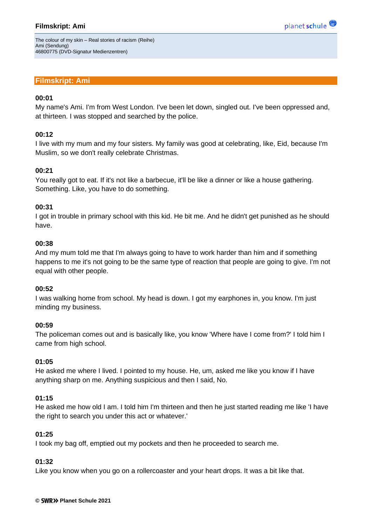# **Filmskript: Ami**

planet schule

The colour of my skin – Real stories of racism (Reihe) Ami (Sendung) 46800775 (DVD-Signatur Medienzentren)

# **Filmskript: Ami**

### **00:01**

My name's Ami. I'm from West London. I've been let down, singled out. I've been oppressed and, at thirteen. I was stopped and searched by the police.

#### **00:12**

I live with my mum and my four sisters. My family was good at celebrating, like, Eid, because I'm Muslim, so we don't really celebrate Christmas.

#### **00:21**

You really got to eat. If it's not like a barbecue, it'll be like a dinner or like a house gathering. Something. Like, you have to do something.

#### **00:31**

I got in trouble in primary school with this kid. He bit me. And he didn't get punished as he should have.

#### **00:38**

And my mum told me that I'm always going to have to work harder than him and if something happens to me it's not going to be the same type of reaction that people are going to give. I'm not equal with other people.

#### **00:52**

I was walking home from school. My head is down. I got my earphones in, you know. I'm just minding my business.

#### **00:59**

The policeman comes out and is basically like, you know 'Where have I come from?' I told him I came from high school.

#### **01:05**

He asked me where I lived. I pointed to my house. He, um, asked me like you know if I have anything sharp on me. Anything suspicious and then I said, No.

#### **01:15**

He asked me how old I am. I told him I'm thirteen and then he just started reading me like 'I have the right to search you under this act or whatever.'

#### **01:25**

I took my bag off, emptied out my pockets and then he proceeded to search me.

#### **01:32**

Like you know when you go on a rollercoaster and your heart drops. It was a bit like that.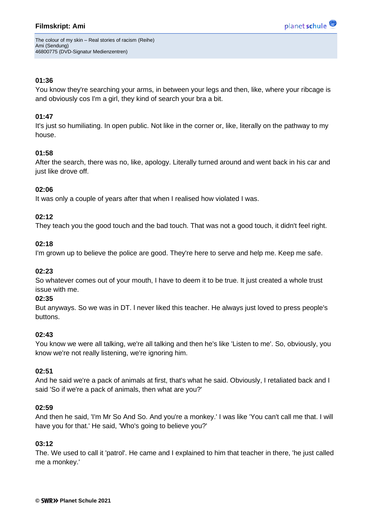The colour of my skin – Real stories of racism (Reihe) Ami (Sendung) 46800775 (DVD-Signatur Medienzentren)

## **01:36**

You know they're searching your arms, in between your legs and then, like, where your ribcage is and obviously cos I'm a girl, they kind of search your bra a bit.

# **01:47**

It's just so humiliating. In open public. Not like in the corner or, like, literally on the pathway to my house.

# **01:58**

After the search, there was no, like, apology. Literally turned around and went back in his car and just like drove off.

# **02:06**

It was only a couple of years after that when I realised how violated I was.

# **02:12**

They teach you the good touch and the bad touch. That was not a good touch, it didn't feel right.

### **02:18**

I'm grown up to believe the police are good. They're here to serve and help me. Keep me safe.

### **02:23**

So whatever comes out of your mouth, I have to deem it to be true. It just created a whole trust issue with me.

### **02:35**

But anyways. So we was in DT. l never liked this teacher. He always just loved to press people's buttons.

### **02:43**

You know we were all talking, we're all talking and then he's like 'Listen to me'. So, obviously, you know we're not really listening, we're ignoring him.

### **02:51**

And he said we're a pack of animals at first, that's what he said. Obviously, I retaliated back and I said 'So if we're a pack of animals, then what are you?'

### **02:59**

And then he said, 'I'm Mr So And So. And you're a monkey.' I was like 'You can't call me that. I will have you for that.' He said, 'Who's going to believe you?'

### **03:12**

The. We used to call it 'patrol'. He came and I explained to him that teacher in there, 'he just called me a monkey.'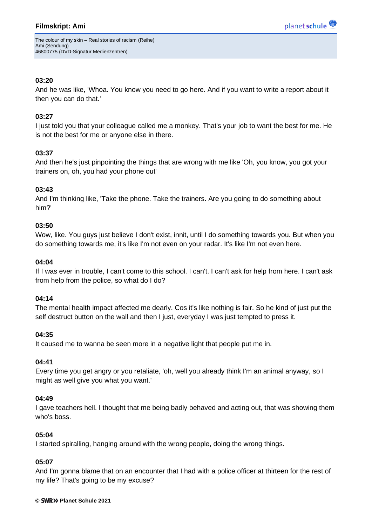The colour of my skin – Real stories of racism (Reihe) Ami (Sendung) 46800775 (DVD-Signatur Medienzentren)

## **03:20**

And he was like, 'Whoa. You know you need to go here. And if you want to write a report about it then you can do that.'

# **03:27**

I just told you that your colleague called me a monkey. That's your job to want the best for me. He is not the best for me or anyone else in there.

# **03:37**

And then he's just pinpointing the things that are wrong with me like 'Oh, you know, you got your trainers on, oh, you had your phone out'

# **03:43**

And I'm thinking like, 'Take the phone. Take the trainers. Are you going to do something about him?'

### **03:50**

Wow, like. You guys just believe I don't exist, innit, until I do something towards you. But when you do something towards me, it's like I'm not even on your radar. It's like I'm not even here.

## **04:04**

If I was ever in trouble, I can't come to this school. I can't. I can't ask for help from here. I can't ask from help from the police, so what do I do?

### **04:14**

The mental health impact affected me dearly. Cos it's like nothing is fair. So he kind of just put the self destruct button on the wall and then I just, everyday I was just tempted to press it.

### **04:35**

It caused me to wanna be seen more in a negative light that people put me in.

### **04:41**

Every time you get angry or you retaliate, 'oh, well you already think I'm an animal anyway, so I might as well give you what you want.'

### **04:49**

I gave teachers hell. I thought that me being badly behaved and acting out, that was showing them who's boss.

### **05:04**

I started spiralling, hanging around with the wrong people, doing the wrong things.

### **05:07**

And I'm gonna blame that on an encounter that I had with a police officer at thirteen for the rest of my life? That's going to be my excuse?